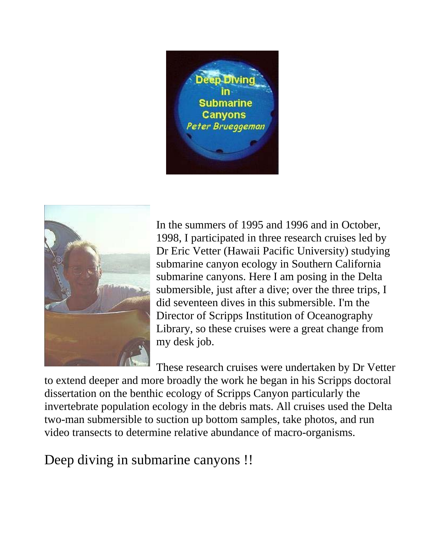



In the summers of 1995 and 1996 and in October, 1998, I participated in three research cruises led by Dr Eric Vetter (Hawaii Pacific University) studying submarine canyon ecology in Southern California submarine canyons. Here I am posing in the Delta submersible, just after a dive; over the three trips, I did seventeen dives in this submersible. I'm the Director of Scripps Institution of Oceanography Library, so these cruises were a great change from my desk job.

These research cruises were undertaken by Dr Vetter

to extend deeper and more broadly the work he began in his Scripps doctoral dissertation on the benthic ecology of Scripps Canyon particularly the invertebrate population ecology in the debris mats. All cruises used the Delta two-man submersible to suction up bottom samples, take photos, and run video transects to determine relative abundance of macro-organisms.

Deep diving in submarine canyons !!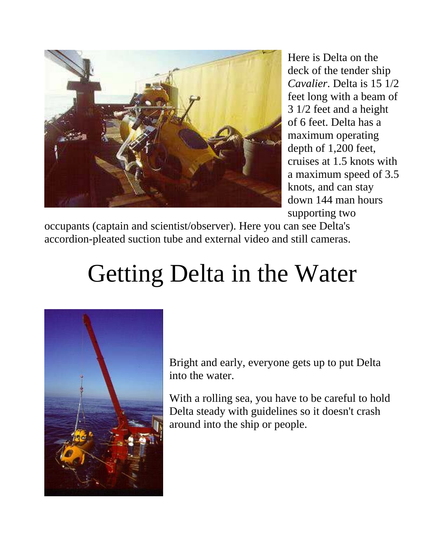

Here is Delta on the deck of the tender ship *Cavalier*. Delta is 15 1/2 feet long with a beam of 3 1/2 feet and a height of 6 feet. Delta has a maximum operating depth of 1,200 feet, cruises at 1.5 knots with a maximum speed of 3.5 knots, and can stay down 144 man hours supporting two

occupants (captain and scientist/observer). Here you can see Delta's accordion-pleated suction tube and external video and still cameras.

# Getting Delta in the Water



Bright and early, everyone gets up to put Delta into the water.

With a rolling sea, you have to be careful to hold Delta steady with guidelines so it doesn't crash around into the ship or people.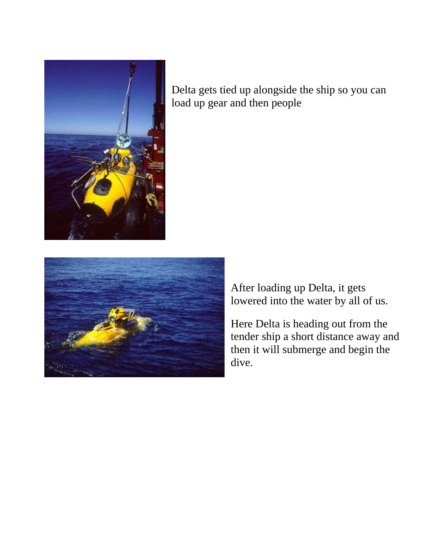

Delta gets tied up alongside the ship so you can load up gear and then people



After loading up Delta, it gets lowered into the water by all of us.

Here Delta is heading out from the tender ship a short distance away and then it will submerge and begin the dive.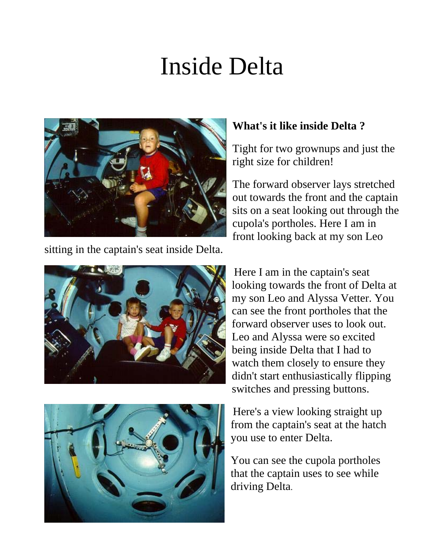### Inside Delta



sitting in the captain's seat inside Delta.



#### **What's it like inside Delta ?**

Tight for two grownups and just the right size for children!

The forward observer lays stretched out towards the front and the captain sits on a seat looking out through the cupola's portholes. Here I am in front looking back at my son Leo

Here I am in the captain's seat looking towards the front of Delta at my son Leo and Alyssa Vetter. You can see the front portholes that the forward observer uses to look out. Leo and Alyssa were so excited being inside Delta that I had to watch them closely to ensure they didn't start enthusiastically flipping switches and pressing buttons.

Here's a view looking straight up from the captain's seat at the hatch you use to enter Delta.

You can see the cupola portholes that the captain uses to see while driving Delta.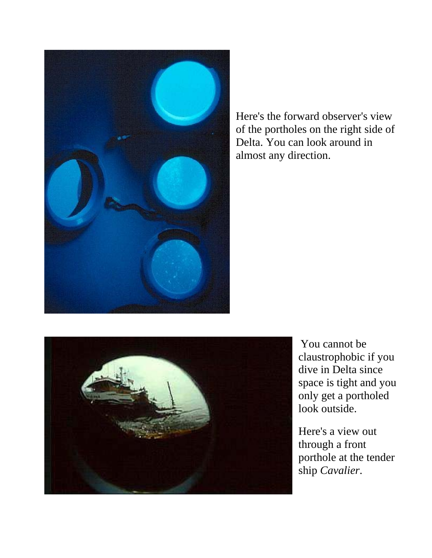

Here's the forward observer's view of the portholes on the right side of Delta. You can look around in almost any direction.



You cannot be claustrophobic if you dive in Delta since space is tight and you only get a portholed look outside.

Here's a view out through a front porthole at the tender ship *Cavalier*.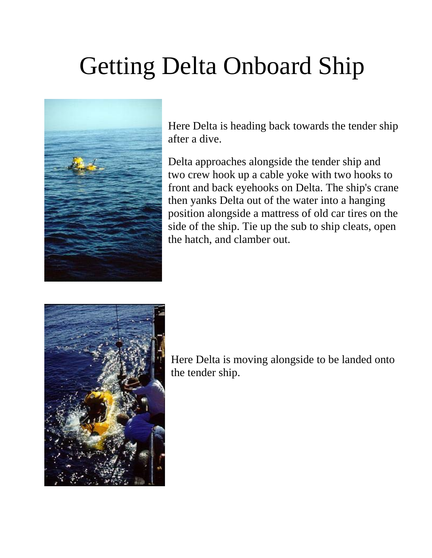# Getting Delta Onboard Ship



Here Delta is heading back towards the tender ship after a dive.

Delta approaches alongside the tender ship and two crew hook up a cable yoke with two hooks to front and back eyehooks on Delta. The ship's crane then yanks Delta out of the water into a hanging position alongside a mattress of old car tires on the side of the ship. Tie up the sub to ship cleats, open the hatch, and clamber out.



Here Delta is moving alongside to be landed onto the tender ship.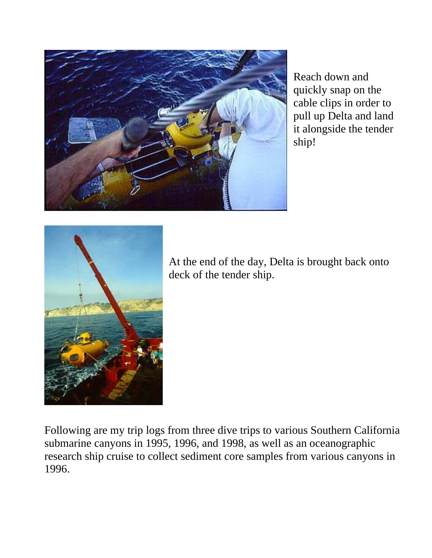

Reach down and quickly snap on the cable clips in order to pull up Delta and land it alongside the tender ship!



At the end of the day, Delta is brought back onto deck of the tender ship.

Following are my trip logs from three dive trips to various Southern California submarine canyons in 1995, 1996, and 1998, as well as an oceanographic research ship cruise to collect sediment core samples from various canyons in 1996.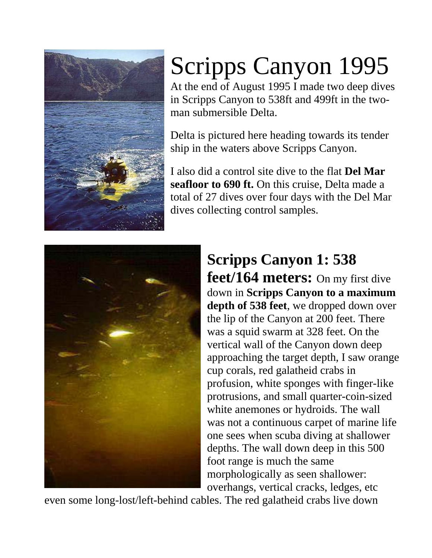

# Scripps Canyon 1995

At the end of August 1995 I made two deep dives in Scripps Canyon to 538ft and 499ft in the twoman submersible Delta.

Delta is pictured here heading towards its tender ship in the waters above Scripps Canyon.

I also did a control site dive to the flat **Del Mar seafloor to 690 ft.** On this cruise, Delta made a total of 27 dives over four days with the Del Mar dives collecting control samples.



#### **Scripps Canyon 1: 538 feet/164 meters:** On my first dive down in **Scripps Canyon to a maximum depth of 538 feet**, we dropped down over the lip of the Canyon at 200 feet. There was a squid swarm at 328 feet. On the vertical wall of the Canyon down deep approaching the target depth, I saw orange cup corals, red galatheid crabs in profusion, white sponges with finger-like protrusions, and small quarter-coin-sized white anemones or hydroids. The wall was not a continuous carpet of marine life one sees when scuba diving at shallower depths. The wall down deep in this 500 foot range is much the same morphologically as seen shallower: overhangs, vertical cracks, ledges, etc

even some long-lost/left-behind cables. The red galatheid crabs live down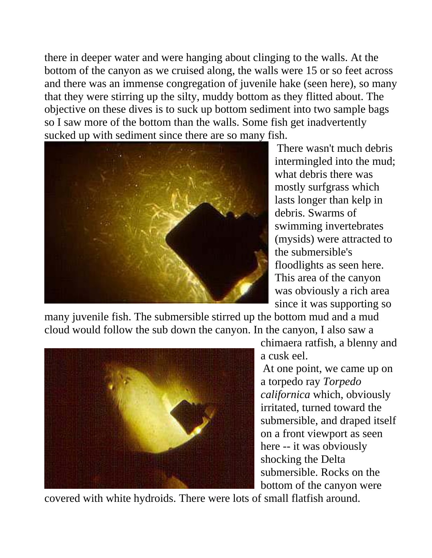there in deeper water and were hanging about clinging to the walls. At the bottom of the canyon as we cruised along, the walls were 15 or so feet across and there was an immense congregation of juvenile hake (seen here), so many that they were stirring up the silty, muddy bottom as they flitted about. The objective on these dives is to suck up bottom sediment into two sample bags so I saw more of the bottom than the walls. Some fish get inadvertently sucked up with sediment since there are so many fish.



There wasn't much debris intermingled into the mud; what debris there was mostly surfgrass which lasts longer than kelp in debris. Swarms of swimming invertebrates (mysids) were attracted to the submersible's floodlights as seen here. This area of the canyon was obviously a rich area since it was supporting so

many juvenile fish. The submersible stirred up the bottom mud and a mud cloud would follow the sub down the canyon. In the canyon, I also saw a



chimaera ratfish, a blenny and a cusk eel.

At one point, we came up on a torpedo ray *Torpedo californica* which, obviously irritated, turned toward the submersible, and draped itself on a front viewport as seen here -- it was obviously shocking the Delta submersible. Rocks on the bottom of the canyon were

covered with white hydroids. There were lots of small flatfish around.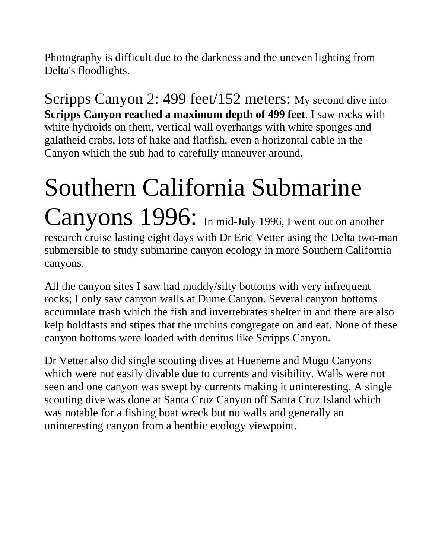Photography is difficult due to the darkness and the uneven lighting from Delta's floodlights.

Scripps Canyon 2: 499 feet/152 meters: My second dive into **Scripps Canyon reached a maximum depth of 499 feet**. I saw rocks with white hydroids on them, vertical wall overhangs with white sponges and galatheid crabs, lots of hake and flatfish, even a horizontal cable in the Canyon which the sub had to carefully maneuver around.

### Southern California Submarine Canyons 1996: In mid-July 1996, I went out on another research cruise lasting eight days with Dr Eric Vetter using the Delta two-man submersible to study submarine canyon ecology in more Southern California canyons.

All the canyon sites I saw had muddy/silty bottoms with very infrequent rocks; I only saw canyon walls at Dume Canyon. Several canyon bottoms accumulate trash which the fish and invertebrates shelter in and there are also kelp holdfasts and stipes that the urchins congregate on and eat. None of these canyon bottoms were loaded with detritus like Scripps Canyon.

Dr Vetter also did single scouting dives at Hueneme and Mugu Canyons which were not easily divable due to currents and visibility. Walls were not seen and one canyon was swept by currents making it uninteresting. A single scouting dive was done at Santa Cruz Canyon off Santa Cruz Island which was notable for a fishing boat wreck but no walls and generally an uninteresting canyon from a benthic ecology viewpoint.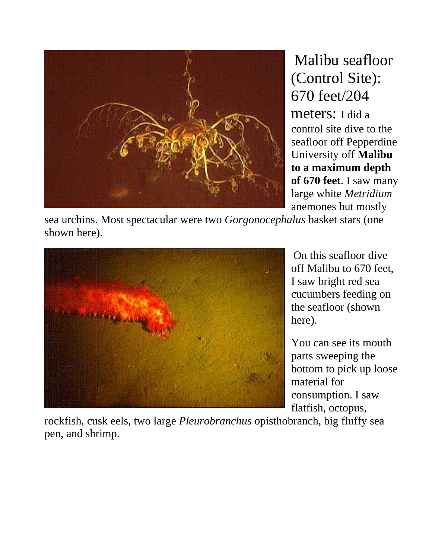

Malibu seafloor (Control Site): 670 feet/204

meters: I did a control site dive to the seafloor off Pepperdine University off **Malibu to a maximum depth of 670 feet**. I saw many large white *Metridium* anemones but mostly

sea urchins. Most spectacular were two *Gorgonocephalus* basket stars (one shown here).



On this seafloor dive off Malibu to 670 feet, I saw bright red sea cucumbers feeding on the seafloor (shown here).

You can see its mouth parts sweeping the bottom to pick up loose material for consumption. I saw flatfish, octopus,

rockfish, cusk eels, two large *Pleurobranchus* opisthobranch, big fluffy sea pen, and shrimp.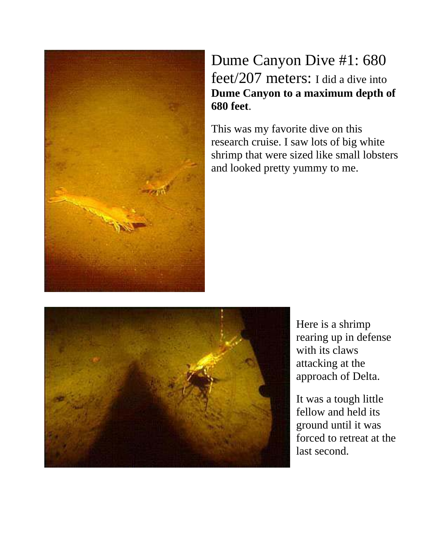

#### Dume Canyon Dive #1: 680 feet/207 meters: I did a dive into **Dume Canyon to a maximum depth of 680 feet**.

This was my favorite dive on this research cruise. I saw lots of big white shrimp that were sized like small lobsters and looked pretty yummy to me.



Here is a shrimp rearing up in defense with its claws attacking at the approach of Delta.

It was a tough little fellow and held its ground until it was forced to retreat at the last second.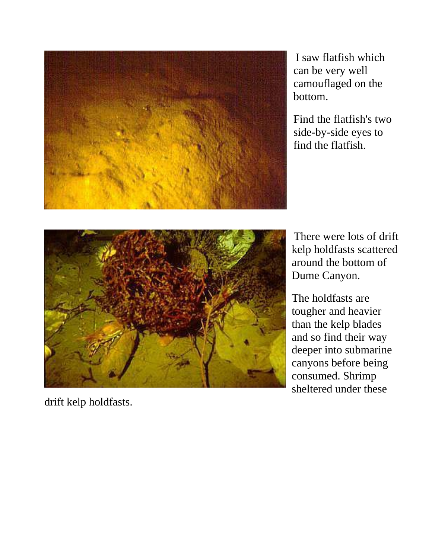

I saw flatfish which can be very well camouflaged on the bottom.

Find the flatfish's two side-by-side eyes to find the flatfish.



There were lots of drift kelp holdfasts scattered around the bottom of Dume Canyon.

The holdfasts are tougher and heavier than the kelp blades and so find their way deeper into submarine canyons before being consumed. Shrimp sheltered under these

drift kelp holdfasts.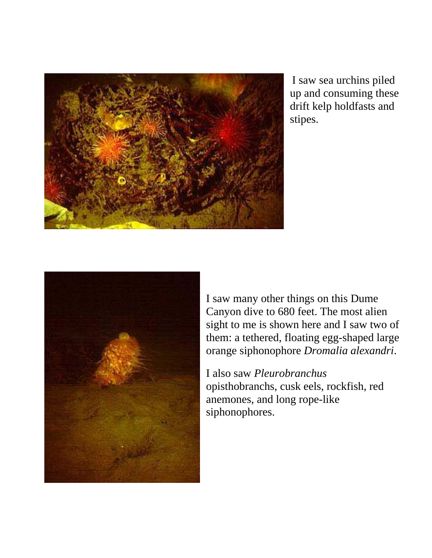

I saw sea urchins piled up and consuming these drift kelp holdfasts and stipes.



I saw many other things on this Dume Canyon dive to 680 feet. The most alien sight to me is shown here and I saw two of them: a tethered, floating egg-shaped large orange siphonophore *Dromalia alexandri*.

I also saw *Pleurobranchus* opisthobranchs, cusk eels, rockfish, red anemones, and long rope-like siphonophores.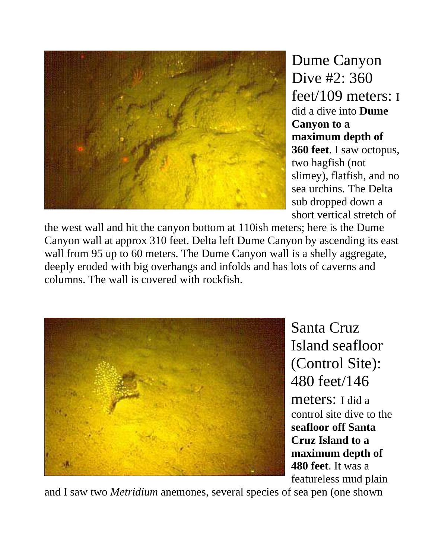

Dume Canyon Dive #2: 360 feet/109 meters: I did a dive into **Dume Canyon to a maximum depth of 360 feet**. I saw octopus, two hagfish (not slimey), flatfish, and no sea urchins. The Delta sub dropped down a short vertical stretch of

the west wall and hit the canyon bottom at 110ish meters; here is the Dume Canyon wall at approx 310 feet. Delta left Dume Canyon by ascending its east wall from 95 up to 60 meters. The Dume Canyon wall is a shelly aggregate, deeply eroded with big overhangs and infolds and has lots of caverns and columns. The wall is covered with rockfish.



Santa Cruz Island seafloor (Control Site): 480 feet/146 meters: I did a control site dive to the **seafloor off Santa Cruz Island to a maximum depth of 480 feet**. It was a featureless mud plain

and I saw two *Metridium* anemones, several species of sea pen (one shown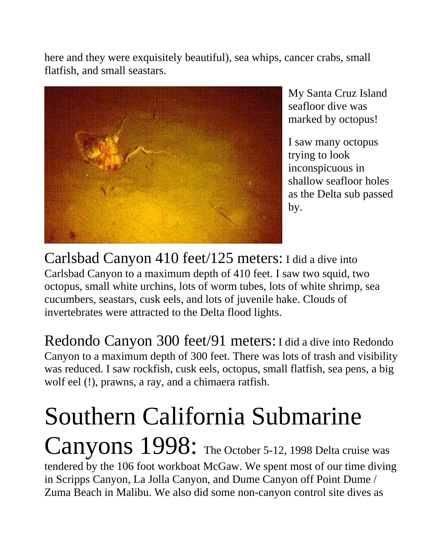here and they were exquisitely beautiful), sea whips, cancer crabs, small flatfish, and small seastars.



My Santa Cruz Island seafloor dive was marked by octopus!

I saw many octopus trying to look inconspicuous in shallow seafloor holes as the Delta sub passed by.

Carlsbad Canyon 410 feet/125 meters: I did a dive into Carlsbad Canyon to a maximum depth of 410 feet. I saw two squid, two octopus, small white urchins, lots of worm tubes, lots of white shrimp, sea cucumbers, seastars, cusk eels, and lots of juvenile hake. Clouds of invertebrates were attracted to the Delta flood lights.

Redondo Canyon 300 feet/91 meters: I did a dive into Redondo Canyon to a maximum depth of 300 feet. There was lots of trash and visibility was reduced. I saw rockfish, cusk eels, octopus, small flatfish, sea pens, a big wolf eel (!), prawns, a ray, and a chimaera ratfish.

#### Southern California Submarine Canyons 1998: The October 5-12, 1998 Delta cruise was tendered by the 106 foot workboat McGaw. We spent most of our time diving in Scripps Canyon, La Jolla Canyon, and Dume Canyon off Point Dume / Zuma Beach in Malibu. We also did some non-canyon control site dives as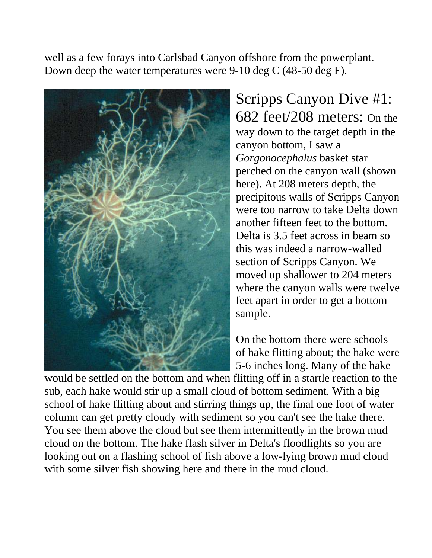well as a few forays into Carlsbad Canyon offshore from the powerplant. Down deep the water temperatures were 9-10 deg C (48-50 deg F).



Scripps Canyon Dive #1: 682 feet/208 meters: On the way down to the target depth in the canyon bottom, I saw a *Gorgonocephalus* basket star perched on the canyon wall (shown here). At 208 meters depth, the precipitous walls of Scripps Canyon were too narrow to take Delta down another fifteen feet to the bottom. Delta is 3.5 feet across in beam so this was indeed a narrow-walled section of Scripps Canyon. We moved up shallower to 204 meters where the canyon walls were twelve feet apart in order to get a bottom sample.

On the bottom there were schools of hake flitting about; the hake were 5-6 inches long. Many of the hake

would be settled on the bottom and when flitting off in a startle reaction to the sub, each hake would stir up a small cloud of bottom sediment. With a big school of hake flitting about and stirring things up, the final one foot of water column can get pretty cloudy with sediment so you can't see the hake there. You see them above the cloud but see them intermittently in the brown mud cloud on the bottom. The hake flash silver in Delta's floodlights so you are looking out on a flashing school of fish above a low-lying brown mud cloud with some silver fish showing here and there in the mud cloud.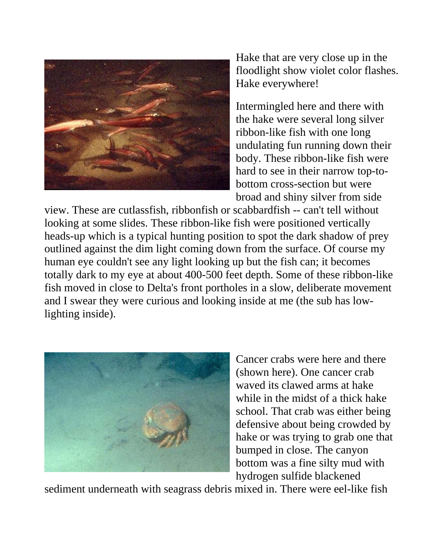

Hake that are very close up in the floodlight show violet color flashes. Hake everywhere!

Intermingled here and there with the hake were several long silver ribbon-like fish with one long undulating fun running down their body. These ribbon-like fish were hard to see in their narrow top-tobottom cross-section but were broad and shiny silver from side

view. These are cutlassfish, ribbonfish or scabbardfish -- can't tell without looking at some slides. These ribbon-like fish were positioned vertically heads-up which is a typical hunting position to spot the dark shadow of prey outlined against the dim light coming down from the surface. Of course my human eye couldn't see any light looking up but the fish can; it becomes totally dark to my eye at about 400-500 feet depth. Some of these ribbon-like fish moved in close to Delta's front portholes in a slow, deliberate movement and I swear they were curious and looking inside at me (the sub has lowlighting inside).



Cancer crabs were here and there (shown here). One cancer crab waved its clawed arms at hake while in the midst of a thick hake school. That crab was either being defensive about being crowded by hake or was trying to grab one that bumped in close. The canyon bottom was a fine silty mud with hydrogen sulfide blackened

sediment underneath with seagrass debris mixed in. There were eel-like fish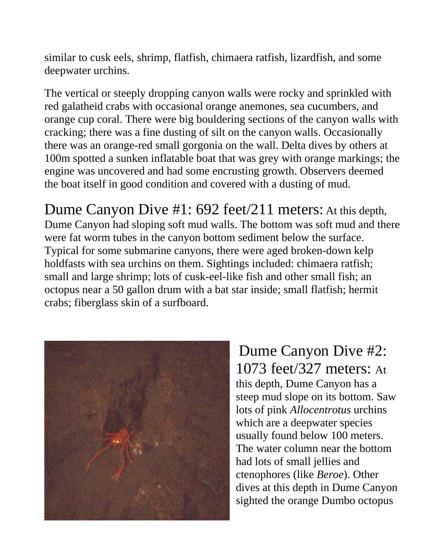similar to cusk eels, shrimp, flatfish, chimaera ratfish, lizardfish, and some deepwater urchins.

The vertical or steeply dropping canyon walls were rocky and sprinkled with red galatheid crabs with occasional orange anemones, sea cucumbers, and orange cup coral. There were big bouldering sections of the canyon walls with cracking; there was a fine dusting of silt on the canyon walls. Occasionally there was an orange-red small gorgonia on the wall. Delta dives by others at 100m spotted a sunken inflatable boat that was grey with orange markings; the engine was uncovered and had some encrusting growth. Observers deemed the boat itself in good condition and covered with a dusting of mud.

Dume Canyon Dive #1: 692 feet/211 meters: At this depth, Dume Canyon had sloping soft mud walls. The bottom was soft mud and there were fat worm tubes in the canyon bottom sediment below the surface. Typical for some submarine canyons, there were aged broken-down kelp holdfasts with sea urchins on them. Sightings included: chimaera ratfish; small and large shrimp; lots of cusk-eel-like fish and other small fish; an octopus near a 50 gallon drum with a bat star inside; small flatfish; hermit crabs; fiberglass skin of a surfboard.



Dume Canyon Dive #2: 1073 feet/327 meters: At this depth, Dume Canyon has a steep mud slope on its bottom. Saw lots of pink *Allocentrotus* urchins which are a deepwater species usually found below 100 meters. The water column near the bottom had lots of small jellies and ctenophores (like *Beroe*). Other dives at this depth in Dume Canyon sighted the orange Dumbo octopus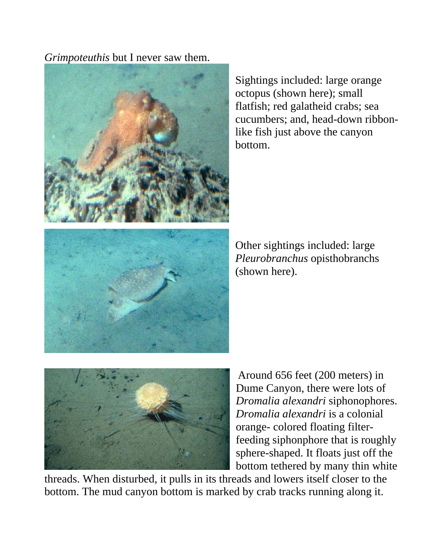*Grimpoteuthis* but I never saw them.



Sightings included: large orange octopus (shown here); small flatfish; red galatheid crabs; sea cucumbers; and, head-down ribbonlike fish just above the canyon bottom.



Other sightings included: large *Pleurobranchus* opisthobranchs (shown here).



Around 656 feet (200 meters) in Dume Canyon, there were lots of *Dromalia alexandri* siphonophores. *Dromalia alexandri* is a colonial orange- colored floating filterfeeding siphonphore that is roughly sphere-shaped. It floats just off the bottom tethered by many thin white

threads. When disturbed, it pulls in its threads and lowers itself closer to the bottom. The mud canyon bottom is marked by crab tracks running along it.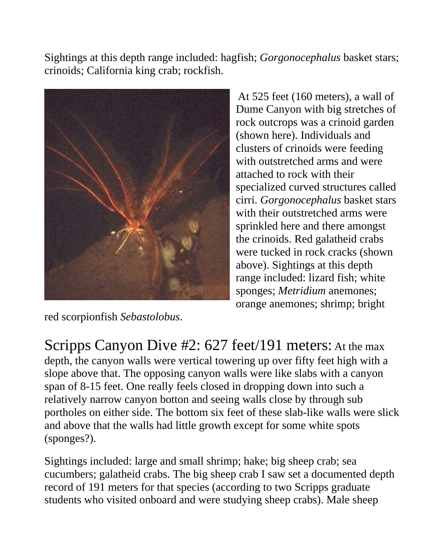Sightings at this depth range included: hagfish; *Gorgonocephalus* basket stars; crinoids; California king crab; rockfish.



At 525 feet (160 meters), a wall of Dume Canyon with big stretches of rock outcrops was a crinoid garden (shown here). Individuals and clusters of crinoids were feeding with outstretched arms and were attached to rock with their specialized curved structures called cirri. *Gorgonocephalus* basket stars with their outstretched arms were sprinkled here and there amongst the crinoids. Red galatheid crabs were tucked in rock cracks (shown above). Sightings at this depth range included: lizard fish; white sponges; *Metridium* anemones; orange anemones; shrimp; bright

red scorpionfish *Sebastolobus*.

Scripps Canyon Dive #2: 627 feet/191 meters: At the max depth, the canyon walls were vertical towering up over fifty feet high with a slope above that. The opposing canyon walls were like slabs with a canyon span of 8-15 feet. One really feels closed in dropping down into such a relatively narrow canyon botton and seeing walls close by through sub portholes on either side. The bottom six feet of these slab-like walls were slick and above that the walls had little growth except for some white spots (sponges?).

Sightings included: large and small shrimp; hake; big sheep crab; sea cucumbers; galatheid crabs. The big sheep crab I saw set a documented depth record of 191 meters for that species (according to two Scripps graduate students who visited onboard and were studying sheep crabs). Male sheep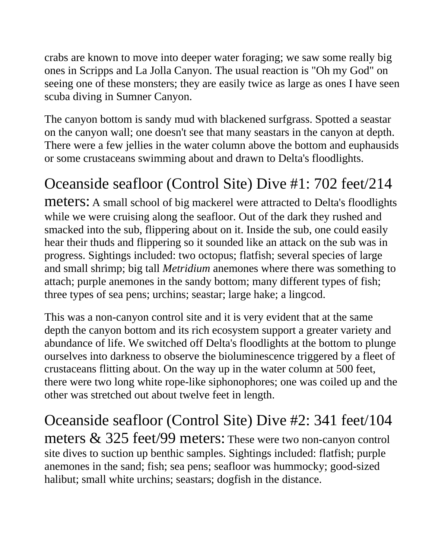crabs are known to move into deeper water foraging; we saw some really big ones in Scripps and La Jolla Canyon. The usual reaction is "Oh my God" on seeing one of these monsters; they are easily twice as large as ones I have seen scuba diving in Sumner Canyon.

The canyon bottom is sandy mud with blackened surfgrass. Spotted a seastar on the canyon wall; one doesn't see that many seastars in the canyon at depth. There were a few jellies in the water column above the bottom and euphausids or some crustaceans swimming about and drawn to Delta's floodlights.

#### Oceanside seafloor (Control Site) Dive #1: 702 feet/214

meters: A small school of big mackerel were attracted to Delta's floodlights while we were cruising along the seafloor. Out of the dark they rushed and smacked into the sub, flippering about on it. Inside the sub, one could easily hear their thuds and flippering so it sounded like an attack on the sub was in progress. Sightings included: two octopus; flatfish; several species of large and small shrimp; big tall *Metridium* anemones where there was something to attach; purple anemones in the sandy bottom; many different types of fish; three types of sea pens; urchins; seastar; large hake; a lingcod.

This was a non-canyon control site and it is very evident that at the same depth the canyon bottom and its rich ecosystem support a greater variety and abundance of life. We switched off Delta's floodlights at the bottom to plunge ourselves into darkness to observe the bioluminescence triggered by a fleet of crustaceans flitting about. On the way up in the water column at 500 feet, there were two long white rope-like siphonophores; one was coiled up and the other was stretched out about twelve feet in length.

Oceanside seafloor (Control Site) Dive #2: 341 feet/104 meters & 325 feet/99 meters: These were two non-canyon control site dives to suction up benthic samples. Sightings included: flatfish; purple anemones in the sand; fish; sea pens; seafloor was hummocky; good-sized halibut; small white urchins; seastars; dogfish in the distance.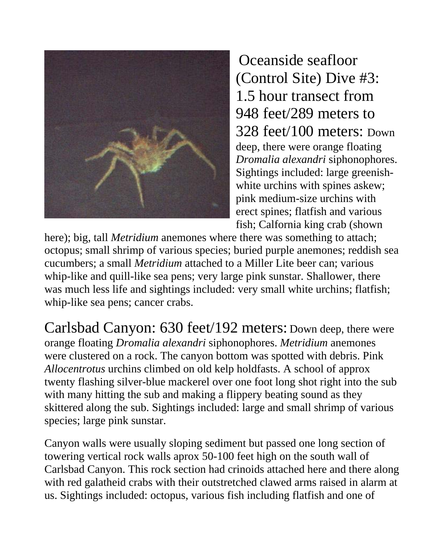

Oceanside seafloor (Control Site) Dive #3: 1.5 hour transect from 948 feet/289 meters to 328 feet/100 meters: Down deep, there were orange floating *Dromalia alexandri* siphonophores. Sightings included: large greenishwhite urchins with spines askew; pink medium-size urchins with erect spines; flatfish and various fish; Calfornia king crab (shown

here); big, tall *Metridium* anemones where there was something to attach; octopus; small shrimp of various species; buried purple anemones; reddish sea cucumbers; a small *Metridium* attached to a Miller Lite beer can; various whip-like and quill-like sea pens; very large pink sunstar. Shallower, there was much less life and sightings included: very small white urchins; flatfish; whip-like sea pens; cancer crabs.

Carlsbad Canyon: 630 feet/192 meters: Down deep, there were orange floating *Dromalia alexandri* siphonophores. *Metridium* anemones were clustered on a rock. The canyon bottom was spotted with debris. Pink *Allocentrotus* urchins climbed on old kelp holdfasts. A school of approx twenty flashing silver-blue mackerel over one foot long shot right into the sub with many hitting the sub and making a flippery beating sound as they skittered along the sub. Sightings included: large and small shrimp of various species; large pink sunstar.

Canyon walls were usually sloping sediment but passed one long section of towering vertical rock walls aprox 50-100 feet high on the south wall of Carlsbad Canyon. This rock section had crinoids attached here and there along with red galatheid crabs with their outstretched clawed arms raised in alarm at us. Sightings included: octopus, various fish including flatfish and one of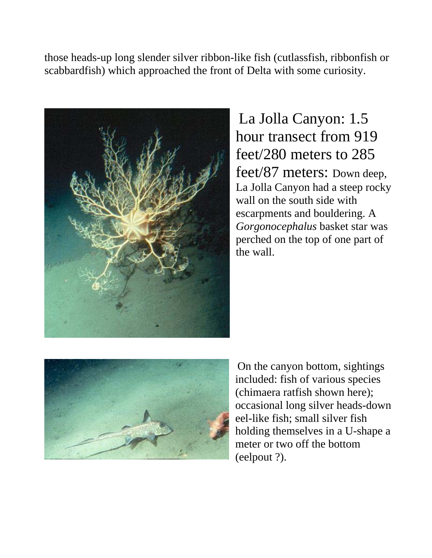those heads-up long slender silver ribbon-like fish (cutlassfish, ribbonfish or scabbardfish) which approached the front of Delta with some curiosity.



La Jolla Canyon: 1.5 hour transect from 919 feet/280 meters to 285 feet/87 meters: Down deep, La Jolla Canyon had a steep rocky wall on the south side with escarpments and bouldering. A *Gorgonocephalus* basket star was perched on the top of one part of the wall.



On the canyon bottom, sightings included: fish of various species (chimaera ratfish shown here); occasional long silver heads-down eel-like fish; small silver fish holding themselves in a U-shape a meter or two off the bottom (eelpout ?).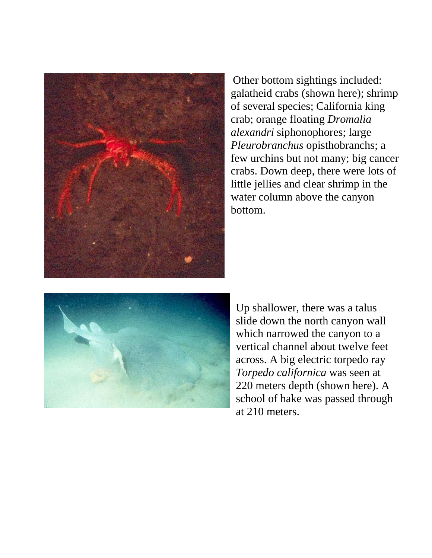

Other bottom sightings included: galatheid crabs (shown here); shrimp of several species; California king crab; orange floating *Dromalia alexandri* siphonophores; large *Pleurobranchus* opisthobranchs; a few urchins but not many; big cancer crabs. Down deep, there were lots of little jellies and clear shrimp in the water column above the canyon bottom.



Up shallower, there was a talus slide down the north canyon wall which narrowed the canyon to a vertical channel about twelve feet across. A big electric torpedo ray *Torpedo californica* was seen at 220 meters depth (shown here). A school of hake was passed through at 210 meters.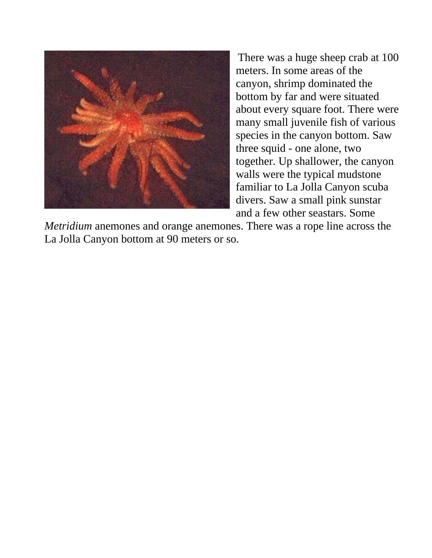

There was a huge sheep crab at 100 meters. In some areas of the canyon, shrimp dominated the bottom by far and were situated about every square foot. There were many small juvenile fish of various species in the canyon bottom. Saw three squid - one alone, two together. Up shallower, the canyon walls were the typical mudstone familiar to La Jolla Canyon scuba divers. Saw a small pink sunstar and a few other seastars. Some

*Metridium* anemones and orange anemones. There was a rope line across the La Jolla Canyon bottom at 90 meters or so.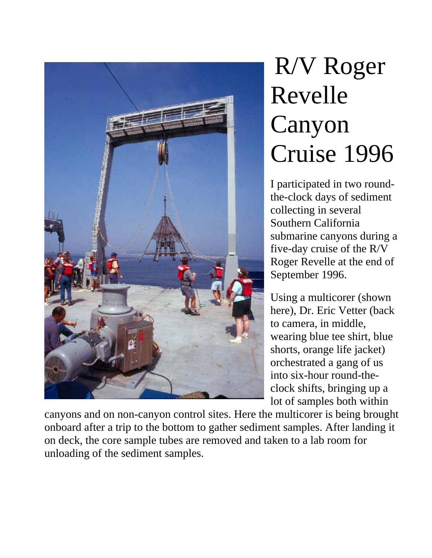

# R/V Roger Revelle Canyon Cruise 1996

I participated in two roundthe-clock days of sediment collecting in several Southern California submarine canyons during a five-day cruise of the R/V Roger Revelle at the end of September 1996.

Using a multicorer (shown here), Dr. Eric Vetter (back to camera, in middle, wearing blue tee shirt, blue shorts, orange life jacket) orchestrated a gang of us into six-hour round-theclock shifts, bringing up a lot of samples both within

canyons and on non-canyon control sites. Here the multicorer is being brought onboard after a trip to the bottom to gather sediment samples. After landing it on deck, the core sample tubes are removed and taken to a lab room for unloading of the sediment samples.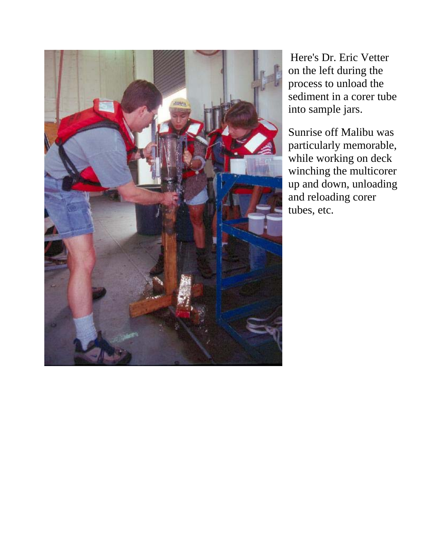

Here's Dr. Eric Vetter on the left during the process to unload the sediment in a corer tube into sample jars.

Sunrise off Malibu was particularly memorable, while working on deck winching the multicorer up and down, unloading and reloading corer tubes, etc.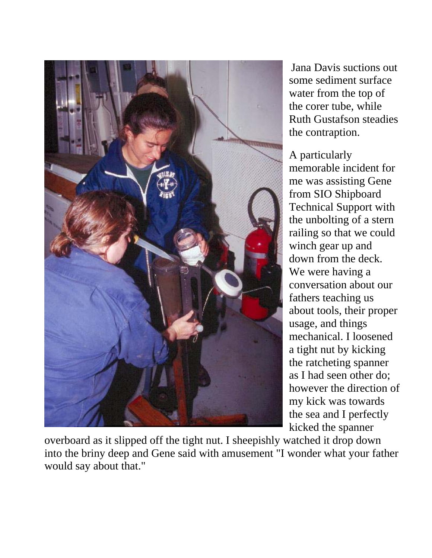

Jana Davis suctions out some sediment surface water from the top of the corer tube, while Ruth Gustafson steadies the contraption.

A particularly memorable incident for me was assisting Gene from SIO Shipboard Technical Support with the unbolting of a stern railing so that we could winch gear up and down from the deck. We were having a conversation about our fathers teaching us about tools, their proper usage, and things mechanical. I loosened a tight nut by kicking the ratcheting spanner as I had seen other do; however the direction of my kick was towards the sea and I perfectly kicked the spanner

overboard as it slipped off the tight nut. I sheepishly watched it drop down into the briny deep and Gene said with amusement "I wonder what your father would say about that."